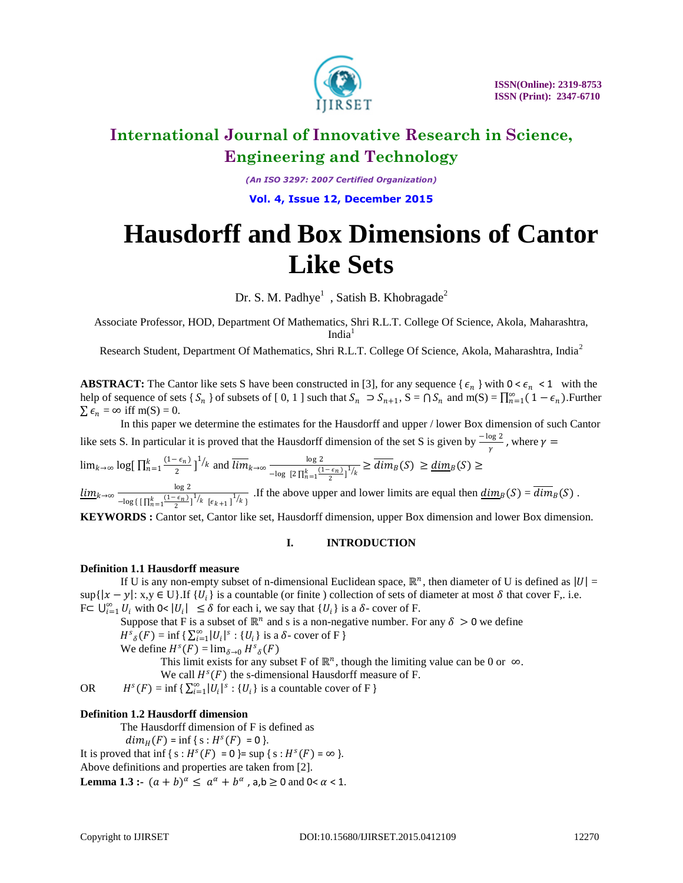

*(An ISO 3297: 2007 Certified Organization)*

**Vol. 4, Issue 12, December 2015**

# **Hausdorff and Box Dimensions of Cantor Like Sets**

Dr. S. M. Padhye<sup>1</sup>, Satish B. Khobragade<sup>2</sup>

Associate Professor, HOD, Department Of Mathematics, Shri R.L.T. College Of Science, Akola, Maharashtra, India<sup>1</sup>

Research Student, Department Of Mathematics, Shri R.L.T. College Of Science, Akola, Maharashtra, India<sup>2</sup>

**ABSTRACT:** The Cantor like sets S have been constructed in [3], for any sequence  $\{\epsilon_n\}$  with  $0 < \epsilon_n < 1$  with the help of sequence of sets {  $S_n$  } of subsets of [0, 1 ] such that  $S_n \supset S_{n+1}$ ,  $S = \bigcap S_n$  and  $m(S) = \prod_{n=1}^{\infty} (1 - \epsilon_n)$ . Further  $\sum \epsilon_n = \infty$  iff m(S) = 0.

In this paper we determine the estimates for the Hausdorff and upper / lower Box dimension of such Cantor like sets S. In particular it is proved that the Hausdorff dimension of the set S is given by  $\frac{-\log 2}{\gamma}$ , where  $\gamma =$ 

 $\lim_{k\to\infty} \log \left[ \prod_{n=1}^{k} \frac{(1-\epsilon_n)}{2} \right]$ 2  $\lim_{n=1} \frac{(1-\epsilon_n)}{2}$   $\int_0^{1/k}$  and  $\overline{lim}_{k\to\infty}$   $\frac{\log 2}{\log 2}$  $\frac{1}{-\log |Z| \prod_{n=1}^k (\frac{(1-\epsilon_n)}{2})^{\frac{1}{k}}}|}{\log |Z| \prod_{n=1}^k (\frac{1-\epsilon_n}{2})^{\frac{1}{k}}}} \geq dim_B(S) \geq \underline{dim}_B(S)$ 2

 $\lim_{k\to\infty} \frac{\log 2}{1-\epsilon n}$  $\frac{\log 2}{-\log\left[\prod_{n=1}^k\frac{(1-\epsilon_n)}{2}\right]^{\frac{1}{k}}}\right]$ . If the above upper and lower limits are equal then  $\dim_B(S) = \dim_B(S)$ .

**KEYWORDS :** Cantor set, Cantor like set, Hausdorff dimension, upper Box dimension and lower Box dimension.

### **I. INTRODUCTION**

### **Definition 1.1 Hausdorff measure**

If U is any non-empty subset of n-dimensional Euclidean space,  $\mathbb{R}^n$ , then diameter of U is defined as  $|U| =$  $\sup\{|x-y|: x,y \in U\}$ . If  $\{U_i\}$  is a countable (or finite ) collection of sets of diameter at most  $\delta$  that cover F,. i.e.  $F ⊂ U_{i=1}^{\infty} U_i$  with 0< |U<sub>i</sub>| ≤ δ for each i, we say that {U<sub>i</sub>} is a δ- cover of F.

Suppose that F is a subset of  $\mathbb{R}^n$  and s is a non-negative number. For any  $\delta > 0$  we define  $H^s_{\delta}(F) = \inf \{ \sum_{i=1}^{\infty} |U_i|^s : \{U_i\} \text{ is a } \delta \text{- cover of } F \}$ We define  $H^s(F) = \lim_{\delta \to 0} H^s_{\delta}(F)$ 

This limit exists for any subset F of  $\mathbb{R}^n$ , though the limiting value can be 0 or  $\infty$ . We call  $H<sup>s</sup>(F)$  the s-dimensional Hausdorff measure of F.

OR  $S(F) = \inf \{ \sum_{i=1}^{\infty} |U_i|^s : \{U_i\} \text{ is a countable cover of } F \}$ 

### **Definition 1.2 Hausdorff dimension**

The Hausdorff dimension of F is defined as

 $dim_H(F) = \inf \{ s : H^s(F) = 0 \}.$ 

It is proved that inf { s :  $H<sup>s</sup>(F) = 0$  }= sup { s :  $H<sup>s</sup>(F) = \infty$  }.

Above definitions and properties are taken from [2].

**Lemma 1.3** :-  $(a + b)^{\alpha} \le a^{\alpha} + b^{\alpha}$ ,  $a,b \ge 0$  and  $0 < \alpha < 1$ .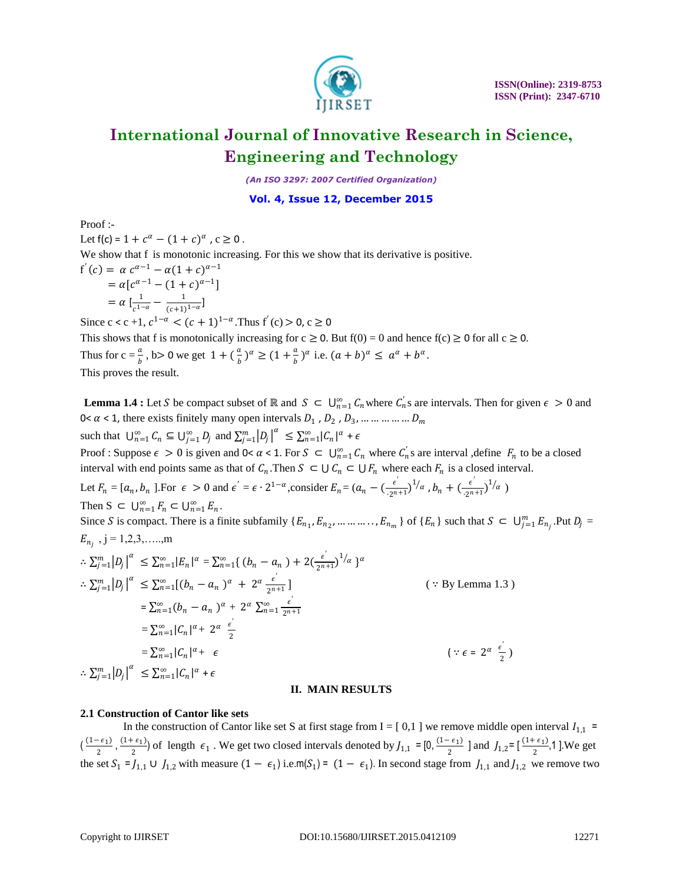

*(An ISO 3297: 2007 Certified Organization)*

#### **Vol. 4, Issue 12, December 2015**

Proof :-

Let  $f(c) = 1 + c^{\alpha} - (1 + c)^{\alpha}$ ,  $c \ge 0$ . We show that f is monotonic increasing. For this we show that its derivative is positive.  $f'(c) = \alpha c^{\alpha-1} - \alpha (1+c)^{\alpha-1}$  $= \alpha [c^{\alpha-1} - (1+c)^{\alpha-1}]$  $=\alpha \left[ \frac{1}{1} \right]$  $\frac{1}{c^{1-\alpha}} - \frac{1}{(c+1)}$  $\frac{1}{(c+1)^{1-\alpha}}$ ]

Since  $c < c + 1$ ,  $c^{1-\alpha} < (c + 1)^{1-\alpha}$ . Thus  $f'(c) > 0$ ,  $c \ge 0$ 

This shows that f is monotonically increasing for  $c \ge 0$ . But  $f(0) = 0$  and hence  $f(c) \ge 0$  for all  $c \ge 0$ . Thus for  $c = \frac{a}{b}$ , b > 0 we get  $1 + (\frac{a}{b})$  $\frac{a}{b}$ )<sup> $\alpha$ </sup>  $\geq$   $(1 + \frac{a}{b})$  $\frac{a}{b}$ )<sup> $\alpha$ </sup> i.e.  $(a + b)^{\alpha} \le a^{\alpha} + b^{\alpha}$ . This proves the result.

**Lemma 1.4** : Let S be compact subset of ℝ and  $S \subset \bigcup_{n=1}^{\infty} C_n$  where  $C'_n$ 's are intervals. Then for given  $\epsilon > 0$  and 0<  $\alpha$  < 1, there exists finitely many open intervals  $D_1$ ,  $D_2$ ,  $D_3$ , ... ... ... ... ...  $D_m$ such that  $\bigcup_{n=1}^{\infty} C_n \subseteq \bigcup_{j=1}^{\infty} D_j$  and  $\sum_{j=1}^{m} |D_j|^{a} \leq \sum_{n=1}^{\infty} |C_n|^{a} + \epsilon$ 

Proof : Suppose  $\epsilon > 0$  is given and  $0 < \alpha < 1$ . For  $S \subset \bigcup_{n=1}^{\infty} C_n$  where  $C'_n$  are interval , define  $F_n$  to be a closed interval with end points same as that of  $C_n$ . Then  $S \subset \bigcup C_n \subset \bigcup F_n$  where each  $F_n$  is a closed interval.

Let  $F_n = [a_n, b_n]$ . For  $\epsilon > 0$  and  $\epsilon' = \epsilon \cdot 2^{1-\alpha}$ , consider  $E_n = (a_n - \frac{\epsilon'}{2n})$  $\frac{\epsilon^{'}}{2^{n+1}}$ )<sup>1/</sup>*a*, *b*<sub>n</sub> +  $\left(\frac{\epsilon^{'}}{2^{n}}\right)$  $\frac{\epsilon}{2^{n+1}}\big)^{1/\alpha}$ ) Then  $S \subset \bigcup_{n=1}^{\infty} F_n \subset \bigcup_{n=1}^{\infty} E_n$ .

Since *S* is compact. There is a finite subfamily 
$$
\{E_{n_1}, E_{n_2}, \dots, \dots, E_{n_m}\}
$$
 of  $\{E_n\}$  such that  $S \subset \bigcup_{j=1}^m E_{n_j}$ . Put  $D_j = E_{n_j}$ ,  $j = 1, 2, 3, \dots, m$   
\n
$$
\therefore \sum_{j=1}^m |D_j|^{\alpha} \le \sum_{n=1}^{\infty} |E_n|^{\alpha} = \sum_{n=1}^{\infty} \{(b_n - a_n) + 2(\frac{\epsilon'}{2^{n+1}})^{1/\alpha}\}^{\alpha}
$$
\n
$$
\therefore \sum_{j=1}^m |D_j|^{\alpha} \le \sum_{n=1}^{\infty} [(b_n - a_n)^{\alpha} + 2^{\alpha} \frac{\epsilon'}{2^{n+1}}] \qquad (\because \text{By Lemma 1.3})
$$
\n
$$
= \sum_{n=1}^{\infty} [(b_n - a_n)^{\alpha} + 2^{\alpha} \sum_{n=1}^{\infty} \frac{\epsilon'}{2^{n+1}}
$$
\n
$$
= \sum_{n=1}^{\infty} |C_n|^{\alpha} + 2^{\alpha} \frac{\epsilon'}{2}
$$
\n
$$
= \sum_{n=1}^{\infty} |C_n|^{\alpha} + \epsilon \qquad (\because \epsilon = 2^{\alpha} \frac{\epsilon'}{2})
$$
\n
$$
\therefore \sum_{j=1}^m |D_j|^{\alpha} \le \sum_{n=1}^{\infty} |C_n|^{\alpha} + \epsilon
$$

#### **II. MAIN RESULTS**

#### **2.1 Construction of Cantor like sets**

In the construction of Cantor like set S at first stage from I = [0,1] we remove middle open interval  $I_{1,1}$  =  $\left(\frac{(1-\epsilon_1)}{2}, \frac{(1+\epsilon_1)}{2}\right)$  $\frac{1-\epsilon_1}{2}$  of length  $\epsilon_1$ . We get two closed intervals denoted by  $J_{1,1} = [0, \frac{(1-\epsilon_1)}{2}]$  and  $J_{1,2} = [\frac{(1+\epsilon_1)}{2}, 1]$ . We get the set  $S_1 = J_{1,1} \cup J_{1,2}$  with measure  $(1 - \epsilon_1)$  i.e.m( $S_1$ ) =  $(1 - \epsilon_1)$ . In second stage from  $J_{1,1}$  and  $J_{1,2}$  we remove two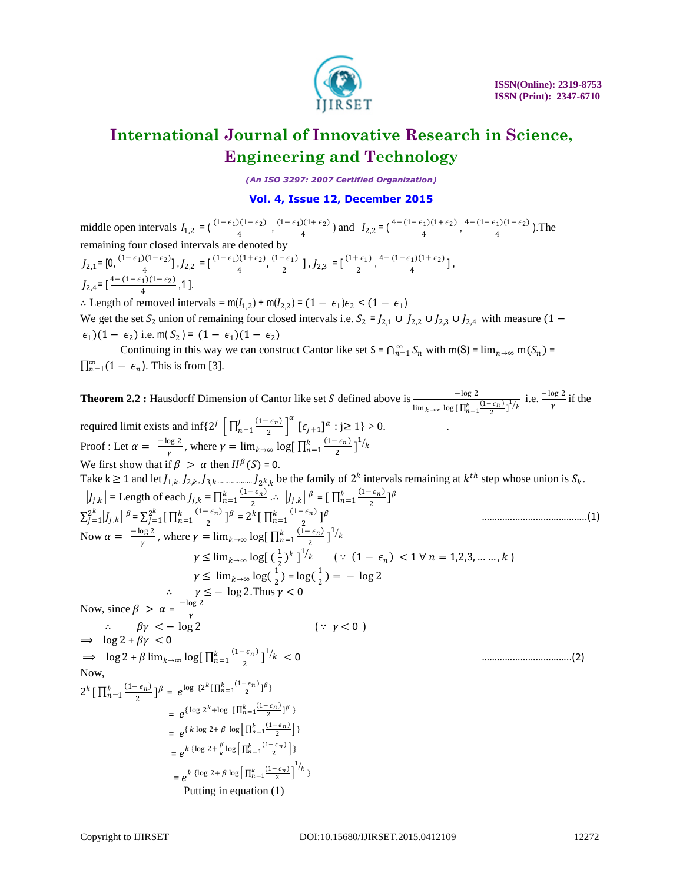

*(An ISO 3297: 2007 Certified Organization)*

### **Vol. 4, Issue 12, December 2015**

middle open intervals  $I_{1,2} = \left(\frac{(1-\epsilon_1)(1-\epsilon_2)}{4}\right)$ ,  $\frac{(1-\epsilon_1)(1+\epsilon_2)}{4}$  $\frac{1}{4}$ (1+  $\epsilon_2$ ) and  $I_{2,2} = \left(\frac{4 - (1 - \epsilon_1)(1 + \epsilon_2)}{4}, \frac{4 - (1 - \epsilon_1)(1 - \epsilon_2)}{4}\right)$  $\frac{1}{4}$ ). The remaining four closed intervals are denoted by  $J_{2,1}$ =  $[0, \frac{(1-\epsilon_1)(1-\epsilon_2)}{4}]$ ,  $J_{2,2}$  =  $[\frac{(1-\epsilon_1)(1+\epsilon_2)}{4}, \frac{(1-\epsilon_1)(1+\epsilon_2)}{2}]$  $\frac{1-\epsilon_1}{2}$ ],  $J_{2,3} = \left[\frac{(1+\epsilon_1)}{2}, \frac{4-(1-\epsilon_1)(1+\epsilon_2)}{4}\right]$  $\frac{1^{1++\epsilon_2j}}{4}$ ,  $J_{2,4}$ =  $\left[\frac{4-(1-\epsilon_1)(1-\epsilon_2)}{4},1\right]$ . ∴ Length of removed intervals =  $m(I_{1,2}) + m(I_{2,2}) = (1 - \epsilon_1)\epsilon_2 < (1 - \epsilon_1)$ We get the set  $S_2$  union of remaining four closed intervals i.e.  $S_2 = J_{2,1} \cup J_{2,2} \cup J_{2,3} \cup J_{2,4}$  with measure (1 –  $\epsilon_1$ )(1 –  $\epsilon_2$ ) i.e. m(S<sub>2</sub>) = (1 –  $\epsilon_1$ )(1 –  $\epsilon_2$ ) Continuing in this way we can construct Cantor like set  $S = \bigcap_{n=1}^{\infty} S_n$  with  $m(S) = \lim_{n \to \infty} m(S_n) =$  $\prod_{n=1}^{\infty} (1 - \epsilon_n)$ . This is from [3]. **Theorem 2.2 :** Hausdorff Dimension of Cantor like set S defined above is  $\frac{-\log 2}{\lim_{k\to\infty} \log \left[\prod_{n=1}^k \frac{(1-\epsilon_n)}{2}\right]^{\frac{1}{k}}$  i.e.  $\frac{-\log 2}{\gamma}$  if the required limit exists and inf{ $2^{j}$   $\prod_{n=1}^{j} \frac{(1-\epsilon_{n})}{2}$ 2  $\int_{n=1}^{j} \frac{(1-\epsilon_n)}{2} \Big|_0^{\alpha} \left[ \epsilon_{j+1} \right]^{\alpha} : j \ge 1 \} > 0.$ Proof : Let  $\alpha = \frac{-\log 2}{\pi}$  $\frac{\log 2}{\gamma}$ , where  $\gamma = \lim_{k \to \infty} \log \left[ \prod_{n=1}^{k} \frac{(1 - \epsilon_n)}{2} \right]$ 2  $\frac{k}{n-1} \frac{(1-\epsilon_n)}{2}$ ]<sup>1</sup>/<sub>k</sub> We first show that if  $\beta > \alpha$  then  $H^{\beta}(S) = 0$ . Take  $k \ge 1$  and let  $J_{1,k}, J_{2,k}, J_{3,k}$  merroom  $J_{2^k,k}$  be the family of  $2^k$  intervals remaining at  $k^{th}$  step whose union is  $S_k$ .  $|J_{j,k}|$  = Length of each  $J_{j,k} = \prod_{n=1}^{k} \frac{(1-\epsilon_n)^n}{2}$ 2  $\binom{k}{n-1}$   $\frac{(1-\epsilon_n)}{2}$   $\therefore$   $\left|J_{j,k}\right| \stackrel{\beta}{=} \left[\prod_{n=1}^{k} \frac{(1-\epsilon_n)}{2}\right]$ 2  $\binom{k}{n=1} \frac{(1-\epsilon_n)}{2}$ ]<sup> $\beta$ </sup>  $\sum_{j=1}^{2^k} |J_{j,k}|^{\beta} = \sum_{j=1}^{2^k} [\prod_{n=1}^k \frac{(1-\epsilon_n)}{2}]$ 2  $\sum_{j=1}^{2^k} \left[ \prod_{n=1}^k \frac{(1-\epsilon_n)}{2} \right] \beta = 2^k \left[ \prod_{n=1}^k \frac{(1-\epsilon_n)}{2} \right]$ 2  $_{n=1}^{k} \frac{(1-\epsilon_n)}{2}$ ]<sup> $\beta$ </sup> …………………………………..(1) Now  $\alpha = \frac{-\log 2}{\gamma}$ , where  $\gamma = \lim_{k \to \infty} \log \left[ \frac{k}{n} \right] \frac{(1 - \epsilon_n)}{2} \right]^{\frac{1}{k}}$  $\gamma$   $(2)$  $\gamma \leq \lim_{k \to \infty} \log \left( \frac{1}{2} \right)$  $\frac{1}{2}$  )<sup>k</sup> ]<sup>1</sup>/<sub>k</sub>  $(\because (1 - \epsilon_n) < 1 \forall n = 1, 2, 3, ..., k)$  $\gamma \leq \lim_{k \to \infty} \log(\frac{1}{2})$  $\frac{1}{2}$ ) = log( $\frac{1}{2}$  $(\frac{1}{2}) = -\log 2$ ∴  $\gamma \leq -\log 2$ . Thus  $\gamma < 0$ Now, since  $\beta > \alpha = \frac{-\log 2}{\alpha}$ γ ∴  $\beta \gamma$  < − log 2 ( ∵  $\gamma$  < 0 )  $\Rightarrow$  log 2 +  $\beta\gamma$  < 0  $\Rightarrow$  log 2 +  $\beta$  lim<sub>k→∞</sub> log[ $\prod_{n=1}^{k} \frac{(1-\epsilon_n)}{2}$ 2  $\binom{k}{n=1} \frac{(1-\epsilon_n)}{2}$ ]<sup>1</sup>/<sub>k</sub> < 0 ……………………………..(2) Now,  $2^k \prod_{n=1}^k \frac{(1-\epsilon_n)}{2}$ 2  $\int_{0}^{k} h^{2} = e^{\log \{2^{k} [\prod_{n=1}^{k} \frac{(1-\epsilon_{n})}{2}]^{\beta}\}}$ =  $e^{\{\log 2^k + \log [\prod_{n=1}^k (\frac{1-\epsilon_n}{2}]^{\beta}\}\}$  $= e^{\left\{k \log 2 + \beta \log \left[\prod_{n=1}^{k} \frac{(1-\epsilon_n)}{2}\right]\right\}}$  $= e^{k \{\log 2 + \frac{\beta}{k} \log \left[ \prod_{n=1}^{k} \frac{(1-\epsilon_n)}{2} \right] \} }$  $= e$ k {log 2+  $\beta$  log  $\left[\prod_{n=1}^{k} \frac{(1-\epsilon_n)}{2}\right]$  $^{1}/_{k}$ <sub>}</sub> Putting in equation (1)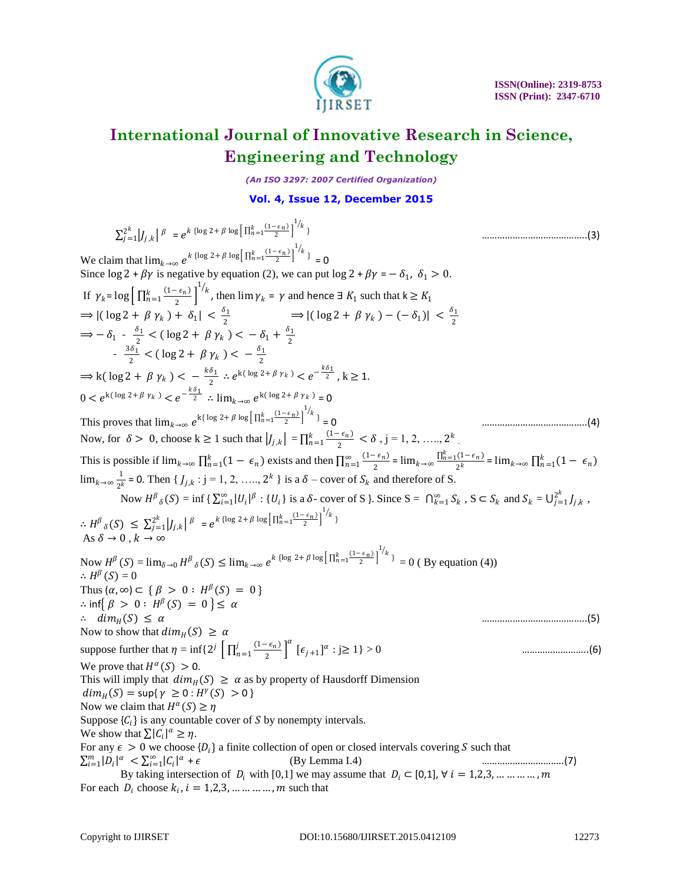

*(An ISO 3297: 2007 Certified Organization)*

### **Vol. 4, Issue 12, December 2015**

 $\sum_{j=1}^{2^k} |J_{j,k}|^{\beta}$  $\int_{j=1}^{2k} |J_{j,k}|^{\beta} = e^{k \{\log 2 + \beta \log \left[\prod_{n=1}^{k} \frac{(1-\epsilon_n)}{2}\right]}$  $^{1}/_{k}$  …………………………………..(3) We claim that  $\lim_{k\to\infty} e^{k \{\log 2 + \beta \log \left[\prod_{n=1}^{k} \frac{(1-\epsilon_n)}{2}\right]}\$  $^{1/k}$  } = 0 Since  $\log 2 + \beta \gamma$  is negative by equation (2), we can put  $\log 2 + \beta \gamma = -\delta_1$ ,  $\delta_1 > 0$ . If  $\gamma_k = \log \left[ \prod_{n=1}^k \frac{(1-\epsilon_n)}{2} \right]$ 2  $\frac{k}{n+1} \frac{(1-\epsilon_n)}{2}$ <sup>1</sup>/<sub>k</sub>, then lim γ<sub>k</sub> = γ and hence ∃ K<sub>1</sub> such that k ≥ K<sub>1</sub>  $\Rightarrow$   $|(\log 2 + \beta \gamma_k) + \delta_1| < \frac{\delta_1}{2}$ 2  $\Rightarrow$   $|(\log 2 + \beta \gamma_k) - (-\delta_1)| < \frac{\delta_1}{2}$ 2  $\Rightarrow -\delta_1 - \frac{\delta_1}{2} < (\log 2 + \beta \gamma_k) < -\delta_1 + \frac{\delta_1}{2}$ 2 2  $-\frac{3\delta_1}{2} < (\log 2 + \beta \gamma_k) < -\frac{\delta_1}{2}$ 2  $(100 - 7)$   $\frac{1}{2}$  $\Rightarrow$  k(log 2 +  $\beta \gamma_k$ ) <  $-\frac{k\delta_1}{2}$  $\frac{\delta_1}{2}$  :  $e^{k(\log 2 + \beta \gamma_k)} < e^{-\frac{k\delta_1}{2}}$ ,  $k \ge 1$ .  $0 < e^{k(\log 2 + \beta \gamma_k)} < e^{-\frac{k\delta_1}{2}}$  ∴  $\lim_{k\to\infty} e^{k(\log 2 + \beta \gamma_k)} = 0$ This proves that  $\lim_{k\to\infty} e^{k\{\log 2 + \beta \log \left[\prod_{n=1}^{k} \frac{(1-\epsilon_n)}{2}\right]}$  $^{1}/_{k}$ = 0 …………………………………..(4) Now, for  $\delta > 0$ , choose  $k \ge 1$  such that  $|J_{j,k}| = \prod_{n=1}^{k} \frac{(1 - \epsilon_n)}{2}$ 2  $\frac{k}{n=1} \frac{(1-\epsilon_n)}{2} < \delta$ , j = 1, 2, ....., 2<sup>k</sup>. This is possible if  $\lim_{k\to\infty} \prod_{n=1}^{k} (1 - \epsilon_n)$  exists and then  $\prod_{n=1}^{\infty} \frac{(1 - \epsilon_n)}{2}$ 2  $\sum_{n=1}^{\infty} \frac{(1-\epsilon_n)}{2} = \lim_{k \to \infty} \frac{\prod_{n=1}^{k} (1-\epsilon_n)}{2^k}$  $\frac{(1-\epsilon_n)}{2^k}$  =  $\lim_{k\to\infty} \prod_{n=1}^k (1-\epsilon_n)$  $\lim_{k\to\infty}\frac{1}{2^k}$  $\frac{1}{2^k}$  = 0. Then {  $J_{j,k}$  : j = 1, 2, ...., 2<sup>k</sup> } is a  $\delta$  – cover of  $S_k$  and therefore of S. Now  $H^{\beta}{}_{\delta}(S) = \inf \{ \sum_{i=1}^{\infty} |U_i|^{\beta} : \{U_i\} \text{ is a } \delta \text{- cover of } S \}$ . Since  $S = \bigcap_{k=1}^{\infty} S_k$ ,  $S \subset S_k$  and  $S_k = \bigcup_{j=1}^{2^k} J_{j,k}$  $_{j=1}^{2^{n}}J_{j,k}$ ,  $\therefore H^{\beta}{}_{\delta}(S) \leq \sum_{j=1}^{2^{k}} |J_{j,k}|^{\beta}$  $\int_{j=1}^{k} |J_{j,k}|^{\beta} = e^{k \{\log 2 + \beta \log \left[\prod_{n=1}^{k} \frac{(1-\epsilon_n)}{2}\right]}$  $^{1/2}$ As  $\delta \to 0$ ,  $k \to \infty$ Now  $H^{\beta}(S) = \lim_{\delta \to 0} H^{\beta}{}_{\delta}(S) \leq \lim_{k \to \infty} e^{k \{\log 2 + \beta \log \left[\prod_{n=1}^{k} \frac{(1 - \epsilon_n)}{2}\right]}$  $\binom{1}{k}$  = 0 (By equation (4))  $\therefore H^{\beta}(S) = 0$ Thus  $(\alpha, \infty) \subset {\beta > 0 : H^{\beta}(S) = 0}$  $\therefore$  inf{  $\beta > 0$  :  $H^{\beta}(S) = 0$  }  $\leq \alpha$  $\therefore$   $\dim_H(S) \leq \alpha$ Now to show that  $\dim_H(S) \geq \alpha$ suppose further that  $\eta = \inf \{ 2^j \prod_{n=1}^j \frac{(1 - \epsilon_n)}{2} \}$ 2  $\int_{n=1}^{j} \frac{(1-\epsilon_n)}{2} \, \Big|^{\alpha} \, [\epsilon_{j+1}]^{\alpha}$ : j≥ 1} > 0 ……………………..(6) We prove that  $H^{\alpha}(S) > 0$ . This will imply that  $dim_H(S) \ge \alpha$  as by property of Hausdorff Dimension  $dim_H(S) = sup\{ \gamma \ge 0 : H^{\gamma}(S) > 0 \}$ Now we claim that  $H^{\alpha}(S) \geq \eta$ Suppose  $\{C_i\}$  is any countable cover of S by nonempty intervals. We show that  $\sum |C_i|^{\alpha} \geq \eta$ . For any  $\epsilon > 0$  we choose  $\{D_i\}$  a finite collection of open or closed intervals covering S such that  $\sum_{i=1}^{m} |D_i|^{\alpha} < \sum_{i=1}^{\infty} |C_i|^{\alpha}$ =1 + (By Lemma I.4) …………………………..(7) By taking intersection of  $D_i$  with [0,1] we may assume that  $D_i \subset [0,1]$ ,  $\forall i = 1,2,3,...,...,...,m$ For each  $D_i$  choose  $k_i$ ,  $i = 1,2,3,.........$ , m such that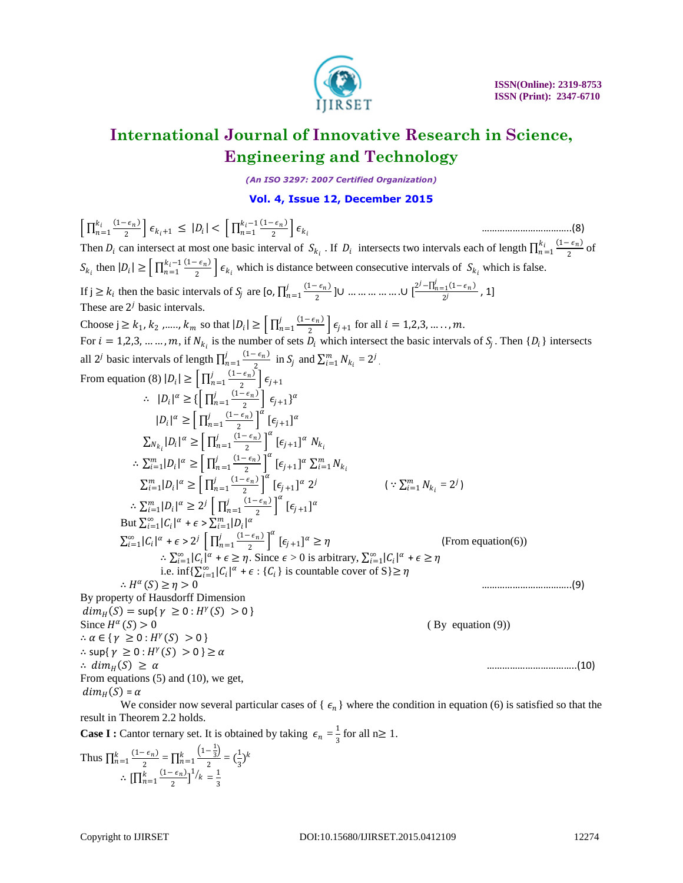

*(An ISO 3297: 2007 Certified Organization)*

### **Vol. 4, Issue 12, December 2015**

 $\prod_{n=1}^{k_i} \frac{(1-\epsilon_n)}{2}$ 2  $\frac{k_i}{n=1} \frac{(1-\epsilon_n)}{2} \left| \epsilon_{k_i+1} \right| \leq |D_i| < \left[ \prod_{n=1}^{k_i-1} \frac{(1-\epsilon_n)}{2} \right]$ 2  $\left[\begin{array}{c} k_i-1 \ (1-\epsilon_n) \\ n=1 \end{array}\right] \epsilon_{k_i}$  ……………………………..(8) Then  $D_i$  can intersect at most one basic interval of  $S_{k_i}$ . If  $D_i$  intersects two intervals each of length  $\prod_{n=1}^{k_i} \frac{(1-\epsilon_n)}{2}$ 2  $\frac{k_i}{n+1} \frac{(1-\epsilon_n)}{2}$  of  $S_{k_i}$  then  $|D_i| \geq \left[ \prod_{n=1}^{k_i-1} \frac{(1-\epsilon_n)}{2} \right]$ 2  $\left[\frac{k_i-1}{n-1}\frac{(1-\epsilon_n)}{2}\right] \epsilon_{k_i}$  which is distance between consecutive intervals of  $S_{k_i}$  which is false. If  $j \geq k_i$  then the basic intervals of  $S_j$  are [o,  $\prod_{n=1}^{j} \frac{(1 - \epsilon_n)}{2}$ ] 2  $\frac{j}{n=1} \frac{(1-\epsilon_n)}{2}$ ]U ... ... ... ... ... U  $\left[\frac{2^j - \prod_{n=1}^j (1-\epsilon_n)}{2^j}\right]$  $\frac{1}{2^j}$ , 1] These are  $2^j$  basic intervals. Choose  $j \ge k_1, k_2, \dots, k_m$  so that  $|D_i| \ge \left| \prod_{n=1}^{j} \frac{(1 - \epsilon_n)}{2} \right|$ 2  $\int_{n=1}^{j} \frac{(1-\epsilon_n)}{2} \epsilon_{j+1}$  for all  $i = 1, 2, 3, \dots, m$ . For  $i = 1, 2, 3, ..., m$ , if  $N_{k_i}$  is the number of sets  $D_i$  which intersect the basic intervals of  $S_j$ . Then  $\{D_i\}$  intersects all 2<sup>*j*</sup> basic intervals of length  $\prod_{n=1}^{j} \frac{(1-\epsilon_n)}{2}$ 2  $\sum_{n=1}^{j} \frac{(1-\epsilon_n)}{2}$  in S<sub>j</sub> and  $\sum_{i=1}^{m} N_{k_i} = 2^j$ . From equation (8)  $|D_i| \ge \left[\prod_{n=1}^j \frac{(1-\epsilon_n)}{2}\right]$ 2  $\left\{\frac{n}{n-1} \frac{(1-\epsilon_n)}{2}\right\} \epsilon_{j+1}$ ∴  $|D_i|^{\alpha} \geq \left\{ \left[ \prod_{n=1}^{j} \frac{(1-\epsilon_n)}{2} \right] \epsilon_{j+1} \right\}^{\alpha}$ 2  $|D_i|^{\alpha} \geq \left[ \prod_{n=1}^j \frac{(1-\epsilon_n)}{2} \right]$ 2  $\int_{n=1}^{j} \frac{(1-\epsilon_n)}{2} \, \Big|^{\alpha} \, [\epsilon_{j+1}]^{\alpha}$  $\sum_{N_{k_i}} |D_i|^{\alpha} \ge \left[ \prod_{n=1}^{j} \frac{(1-\epsilon_n)}{2} \right]$ 2  $\int_{n=1}^{j} \frac{(1-\epsilon_n)}{2} \, \Big|^{\alpha} \, [\epsilon_{j+1}]^{\alpha} \, N_{k_j}$  $\therefore \sum_{i=1}^m |D_i|^\alpha \ge \left[ \prod_{n=1}^j \frac{(1-\epsilon_n)}{2} \right]^\alpha [\epsilon_{j+1}]^\alpha \sum_{i=1}^m N_{k_i}$ 2  $\sum_{i=1}^{m} |D_i|^{\alpha} \geq \left[ \prod_{n=1}^{j} \frac{(1-\epsilon_n)}{2} \right]$ 2  $\int_{n=1}^{j} \frac{(1-\epsilon_n)}{2} \, \int_{0}^{\alpha} \left[ \epsilon_{j+1} \right] \alpha \, 2^{j}$ (  $\because\sum_{i=1}^mN_{k_i}=2^j$  ) ∴  $\sum_{i=1}^{m} |D_i|^{\alpha} \geq 2^j \left[ \prod_{n=1}^{j} \frac{(1-\epsilon_n)}{2} \right]$ 2  $\int_{n=1}^{j} \frac{(1-\epsilon_n)}{2} \, \Big|^{a} \left[ \epsilon_{j+1} \right]^{a}$ But  $\sum_{i=1}^{\infty} |C_i|^{\alpha} + \epsilon > \sum_{i=1}^{m} |D_i|^{\alpha}$  $\sum_{i=1}^{\infty} |C_i|^{\alpha} + \epsilon > 2^j \left[ \prod_{n=1}^{j} \frac{(1-\epsilon_n)}{2} \right]$ 2  $\int_{n=1}^{j} \frac{(1-\epsilon_n)}{2} \, \Big|^{\alpha} \, [\epsilon_{j+1}]^{\alpha} \ge \eta$  (From equation(6)) ∴  $\sum_{i=1}^{\infty} |C_i|^{\alpha} + \epsilon \ge \eta$ . Since  $\epsilon > 0$  is arbitrary,  $\sum_{i=1}^{\infty} |C_i|^{\alpha} + \epsilon \ge \eta$ i.e. inf $\sum_{i=1}^{\infty} |C_i|^{\alpha} + \epsilon : \{C_i\}$  is countable cover of  $S \ge \eta$  $\therefore H^{\alpha}$ () ≥ > 0 ……………………………..(9) By property of Hausdorff Dimension  $dim_H(S) = sup\{ \gamma \ge 0 : H^{\gamma}(S) > 0 \}$ Since  $H^{\alpha}$  $(By$  equation  $(9)$ )  $\therefore \alpha \in \{ \gamma \geq 0 : H^{\gamma}(S) > 0 \}$  $\therefore$  sup{ $\gamma \geq 0$  :  $H^{\gamma}(S) > 0$  }  $\geq \alpha$  $\therefore$   $\dim_H(S) \ge \alpha$  [10] From equations (5) and (10), we get,  $dim_H(S) = \alpha$ We consider now several particular cases of  $\{\epsilon_n\}$  where the condition in equation (6) is satisfied so that the

result in Theorem 2.2 holds.

**Case I :** Cantor ternary set. It is obtained by taking  $\epsilon_n = \frac{1}{3}$  $rac{1}{3}$  for all n  $\geq 1$ .

Thus 
$$
\prod_{n=1}^{k} \frac{(1 - \epsilon_n)}{2} = \prod_{n=1}^{k} \frac{\left(1 - \frac{1}{3}\right)}{2} = \left(\frac{1}{3}\right)^k
$$
  

$$
\therefore \left[\prod_{n=1}^{k} \frac{(1 - \epsilon_n)}{2}\right]^{1/k} = \frac{1}{3}
$$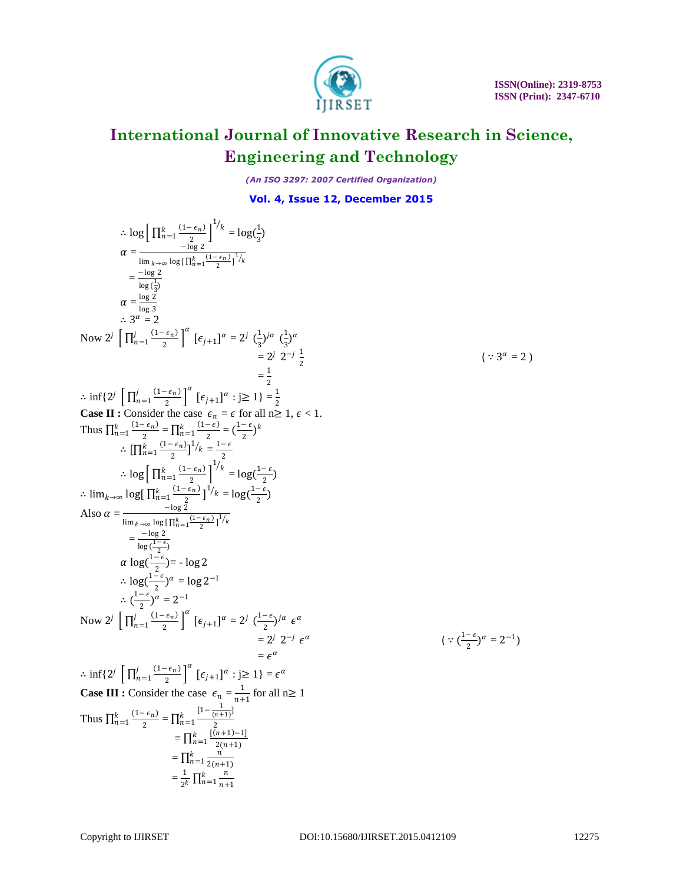

*(An ISO 3297: 2007 Certified Organization)*

**Vol. 4, Issue 12, December 2015**

$$
\therefore \log \left[\prod_{n=1}^{k} \frac{(1-\epsilon_{n})}{2} \right]^{1/k} = \log(\frac{1}{3})
$$
\n
$$
\alpha = \frac{\log 2}{\lim_{n \to \infty} \log |\prod_{n=1}^{k} \frac{(1-\epsilon_{n})}{2}|^{1/k}} = \frac{-\log \frac{2}{3}}{\log \frac{1}{3}}
$$
\n
$$
\alpha = \frac{\log 2}{\log \frac{2}{3}}
$$
\n
$$
\therefore 3^{\alpha} = 2
$$
\nNow 2<sup>j</sup>  $\left[\prod_{n=1}^{j} \frac{(1-\epsilon_{n})}{2}\right]^{\alpha} [\epsilon_{j+1}]^{\alpha} = 2^{j} (\frac{1}{3})^{\alpha} (\frac{1}{3})^{\alpha}$ \n
$$
= 2^{j} 2^{-j} \frac{1}{2}
$$
\n
$$
\therefore \inf \left[2^{j} \left[\prod_{n=1}^{j} \frac{(1-\epsilon_{n})}{2}\right]^{\alpha} [\epsilon_{j+1}]^{\alpha} : j \ge 1 \right] = \frac{1}{2}
$$
\nCase II : Consider the case  $\epsilon_{n} = \epsilon$  for all n ≥ 1,  $\epsilon$  < 1.  
\nThus  $\prod_{n=1}^{k} \frac{(1-\epsilon_{n})}{2} = \prod_{n=1}^{k} \frac{(1-\epsilon_{n})}{2} = (\frac{1-\epsilon_{n}}{2})^{k}$ \n
$$
\therefore \left[\prod_{n=1}^{k} \frac{(1-\epsilon_{n})}{2}\right]^{1/k} = \frac{1-\epsilon}{2}
$$
\n
$$
\therefore \log \left[\prod_{n=1}^{k} \frac{(1-\epsilon_{n})}{2}\right]^{1/k} = \log(\frac{1-\epsilon}{2})
$$
\nAlso  $\alpha = \frac{-\log 2}{\lim_{k \to \infty} \log[\prod_{n=1}^{k} \frac{(1-\epsilon_{n})}{2}]^{1/k}}$ \n
$$
= \frac{-\log 2}{\log(\frac{1-\epsilon}{2})} = -\log 2
$$
\n
$$
\therefore \log(\frac{1-\epsilon}{2}) = -\log 2
$$
\n
$$
\therefore \log(\frac{1-\epsilon}{2}) = -\log 2 - 1
$$
\n
$$
\therefore \frac{1-\epsilon}{2} = 2^{-1}
$$
\nNow <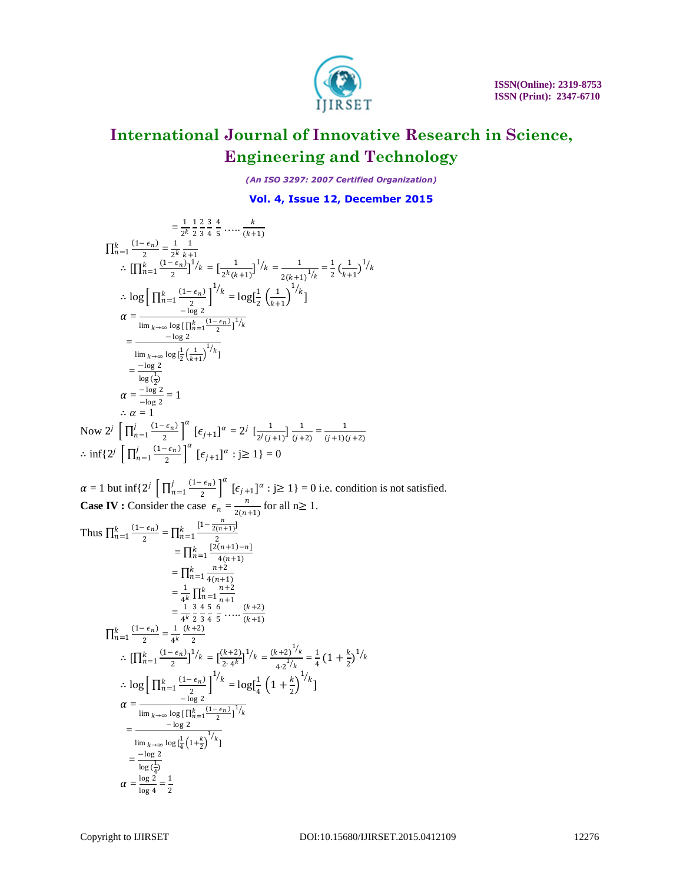

*(An ISO 3297: 2007 Certified Organization)*

### **Vol. 4, Issue 12, December 2015**

$$
\begin{split}\n&= \frac{1}{2^k} \frac{1}{2} \frac{2}{3} \frac{3}{4} \frac{4}{5} \cdot \cdots \frac{k}{(k+1)} \\
&\prod_{n=1}^k \frac{(1-\epsilon_n)}{2} = \frac{1}{2^k} \frac{1}{k+1} \\
&\therefore \left[ \prod_{n=1}^k \frac{(1-\epsilon_n)}{2} \right]^{1/k} = \left[ \frac{1}{2^k(k+1)} \right]^{1/k} = \frac{1}{2(k+1)^{1/k}} = \frac{1}{2} \left( \frac{1}{k+1} \right)^{1/k} \\
&\therefore \log \left[ \prod_{n=1}^k \frac{(1-\epsilon_n)}{2} \right]^{1/k} = \log \left[ \frac{1}{2} \left( \frac{1}{k+1} \right)^{1/k} \right] \\
&\alpha = \frac{\log 2}{\lim_{k \to \infty} \log \left[ \frac{1}{2} \left( \frac{1}{k+1} \right)^{1/k} \right]} \\
&= \frac{-\log 2}{\lim_{k \to \infty} \log \left[ \frac{1}{2} \left( \frac{1}{k+1} \right)^{1/k} \right]} \\
&= \frac{-\log 2}{\log \left( \frac{1}{2} \right)} \\
&\alpha = \frac{-\log 2}{-\log 2} = 1 \\
&\therefore \alpha = 1 \\
&\text{Now } 2^j \left[ \prod_{n=1}^j \frac{(1-\epsilon_n)}{2} \right]^\alpha \left[ \epsilon_{j+1} \right]^\alpha = 2^j \left[ \frac{1}{2^j(j+1)} \right] \frac{1}{(j+2)} = \frac{1}{(j+1)(j+2)} \\
&\therefore \inf \{ 2^j \left[ \prod_{n=1}^j \frac{(1-\epsilon_n)}{2} \right]^\alpha \left[ \epsilon_{j+1} \right]^\alpha : j \ge 1 \} = 0\n\end{split}
$$

 $\alpha = 1$  but inf{ $2^{j}$   $\left[\prod_{n=1}^{j} \frac{(1-\epsilon_{n})}{2}\right]$ 2  $\int_{n=1}^{j} \frac{(1-\epsilon_n)}{2} \, \Big|^{\alpha}$  [ $\epsilon_{j+1}$ ] $\alpha$  : j $\geq 1$ ] = 0 i.e. condition is not satisfied. **Case IV :** Consider the case  $\epsilon_n = \frac{n}{2(n+1)}$  $\frac{n}{2(n+1)}$  for all  $n \geq 1$ .

Thus 
$$
\prod_{n=1}^{k} \frac{(1-\epsilon_{n})}{2} = \prod_{n=1}^{k} \frac{[1-\frac{n}{2(n+1)}]}{2(n+1)}
$$
  
\n
$$
= \prod_{n=1}^{k} \frac{[2(n+1)-n]}{4(n+1)}
$$
  
\n
$$
= \prod_{n=1}^{k} \frac{n+2}{4(n+1)}
$$
  
\n
$$
= \frac{1}{4^{k}} \prod_{n=1}^{k} \frac{n+2}{n+1}
$$
  
\n
$$
= \frac{1}{4^{k}} \frac{3}{2} \frac{4}{3} \frac{5}{4} \frac{6}{5} \dots \frac{(k+2)}{(k+1)}
$$
  
\n
$$
\prod_{n=1}^{k} \frac{(1-\epsilon_{n})}{2} = \frac{1}{4^{k}} \frac{(k+2)}{2}
$$
  
\n
$$
\therefore \left[\prod_{n=1}^{k} \frac{(1-\epsilon_{n})}{2}\right]^{1/k} = \left[\frac{(k+2)}{2 \cdot 4^{k}}\right]^{1/k} = \frac{(k+2)^{1/k}}{4 \cdot 2^{1/k}} = \frac{1}{4} \left(1 + \frac{k}{2}\right)^{1/k}
$$
  
\n
$$
\therefore \log \left[\prod_{n=1}^{k} \frac{(1-\epsilon_{n})}{2}\right]^{1/k} = \log \left[\frac{1}{4} \left(1 + \frac{k}{2}\right)^{1/k}\right]
$$
  
\n
$$
\alpha = \frac{\log 2}{\lim_{k \to \infty} \log \left[\frac{1}{4} \left(1 + \frac{k}{2}\right)^{1/k}\right]}
$$
  
\n
$$
= \frac{-\log 2}{\log \left(\frac{1}{4}\right)}
$$
  
\n
$$
\alpha = \frac{\log 2}{\log \frac{1}{4}} = \frac{1}{2}
$$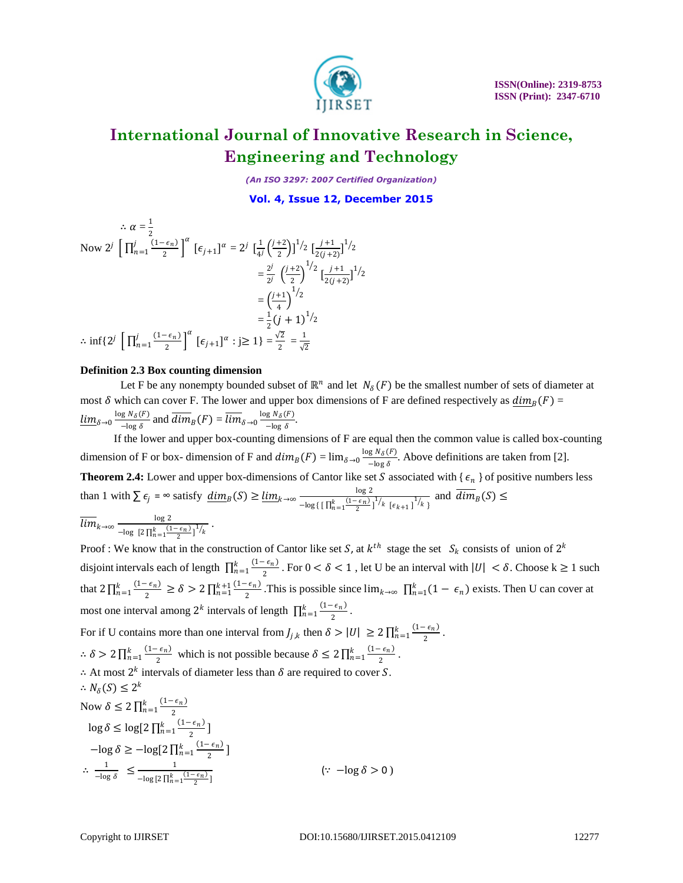

*(An ISO 3297: 2007 Certified Organization)*

**Vol. 4, Issue 12, December 2015**

$$
\therefore \alpha = \frac{1}{2}
$$
  
\nNow  $2^{j} \left[ \prod_{n=1}^{j} \frac{(1-\epsilon_{n})}{2} \right]^{\alpha} [\epsilon_{j+1}]^{\alpha} = 2^{j} \left[ \frac{1}{4^{j}} \left( \frac{j+2}{2} \right) \right]^{1/2} \left[ \frac{j+1}{2(j+2)} \right]^{1/2}$   
\n
$$
= \frac{2^{j}}{2^{j}} \left( \frac{j+2}{2} \right)^{1/2} \left[ \frac{j+1}{2(j+2)} \right]^{1/2}
$$
  
\n
$$
= \left( \frac{j+1}{4} \right)^{1/2}
$$
  
\n
$$
\therefore \inf \{ 2^{j} \left[ \prod_{n=1}^{j} \frac{(1-\epsilon_{n})}{2} \right]^{\alpha} [\epsilon_{j+1}]^{\alpha} : j \ge 1 \} = \frac{\sqrt{2}}{2} = \frac{1}{\sqrt{2}}
$$

#### **Definition 2.3 Box counting dimension**

Let F be any nonempty bounded subset of  $\mathbb{R}^n$  and let  $N_\delta(F)$  be the smallest number of sets of diameter at most  $\delta$  which can cover F. The lower and upper box dimensions of F are defined respectively as  $dim_B(F)$  =  $\lim_{\delta \to 0} \frac{\log N_{\delta}(F)}{-\log \delta}$  $\frac{g N_{\delta}(F)}{-\log \delta}$  and  $\overline{dim}_B(F) = \overline{lim}_{\delta \to 0} \frac{\log N_{\delta}(F)}{-\log \delta}$  $-\log \delta$ .

 If the lower and upper box-counting dimensions of F are equal then the common value is called box-counting dimension of F or box- dimension of F and  $dim_B(F) = \lim_{\delta \to 0} \frac{\log N_\delta(F)}{\log \delta}$  $\frac{g N \delta(r)}{-\log \delta}$ . Above definitions are taken from [2]. **Theorem 2.4:** Lower and upper box-dimensions of Cantor like set S associated with  $\{\epsilon_n\}$  of positive numbers less than 1 with  $\sum \epsilon_j = \infty$  satisfy  $\dim_B(S) \ge \lim_{k \to \infty} \frac{\log 2}{\det(S)}$  $\frac{\log 2}{-\log\left[\prod_{n=1}^{k} \frac{(1-\epsilon_n)}{2}\right]^{\frac{1}{k}} \left[\epsilon_{k+1}\right]^{\frac{1}{k}}}\text{ and } dim_B(S) \leq$  $\overline{\lim}_{k\to\infty} \frac{\log 2}{\sqrt{1-\frac{\log k}{n}}}$  $-\log$   $[2 \prod_{n=1}^{k} \frac{(1-\epsilon_n)}{2}]^{1/k}$ .

Proof : We know that in the construction of Cantor like set S, at  $k^{th}$  stage the set  $S_k$  consists of union of  $2^k$ disjoint intervals each of length  $\prod_{n=1}^{k} \frac{(1-\epsilon_n)}{2}$ 2  $\frac{k}{n-1}$   $\frac{(1-\epsilon_n)}{2}$ . For  $0 < \delta < 1$ , let U be an interval with  $|U| < \delta$ . Choose  $k \ge 1$  such that  $2 \prod_{n=1}^{k} \frac{(1-\epsilon_n)}{2}$ 2  $\frac{k}{n-1} \frac{(1-\epsilon_n)}{2} \ge \delta > 2 \prod_{n=1}^{k+1} \frac{(1-\epsilon_n)}{2}$ 2  $\lim_{n=1}^{k+1} \frac{(1-\epsilon_n)}{2}$ . This is possible since  $\lim_{k\to\infty} \prod_{n=1}^{k} (1-\epsilon_n)$  exists. Then U can cover at most one interval among  $2^k$  intervals of length  $\prod_{n=1}^k \frac{(1-\epsilon_n)^k}{2^n}$ 2  $\frac{k}{n+1} \frac{(1-\epsilon_n)}{2}$ . For if U contains more than one interval from  $J_{j,k}$  then  $\delta > |U| \geq 2 \prod_{n=1}^{k} \frac{(1-\epsilon_n)^n}{2}$ 2  $\frac{k}{n+1} \frac{(1-\epsilon_n)}{2}$ .

$$
\therefore \delta > 2 \prod_{n=1}^{k} \frac{(1 - \epsilon_n)}{2} \text{ which is not possible because } \delta \le 2 \prod_{n=1}^{k} \frac{(1 - \epsilon_n)}{2}.
$$
  
\n
$$
\therefore \text{ At most } 2^k \text{ intervals of diameter less than } \delta \text{ are required to cover } S.
$$
  
\n
$$
\therefore N_{\delta}(S) \le 2^k
$$
  
\nNow  $\delta \le 2 \prod_{n=1}^{k} \frac{(1 - \epsilon_n)}{2}$   
\n
$$
\log \delta \le \log[2 \prod_{n=1}^{k} \frac{(1 - \epsilon_n)}{2}]
$$
  
\n
$$
-\log \delta \ge -\log[2 \prod_{n=1}^{k} \frac{(1 - \epsilon_n)}{2}]
$$
  
\n
$$
\therefore \frac{1}{-\log \delta} \le \frac{1}{-\log[2 \prod_{n=1}^{k} \frac{(1 - \epsilon_n)}{2}]}
$$
  
\n
$$
\therefore \quad -\log \delta > 0
$$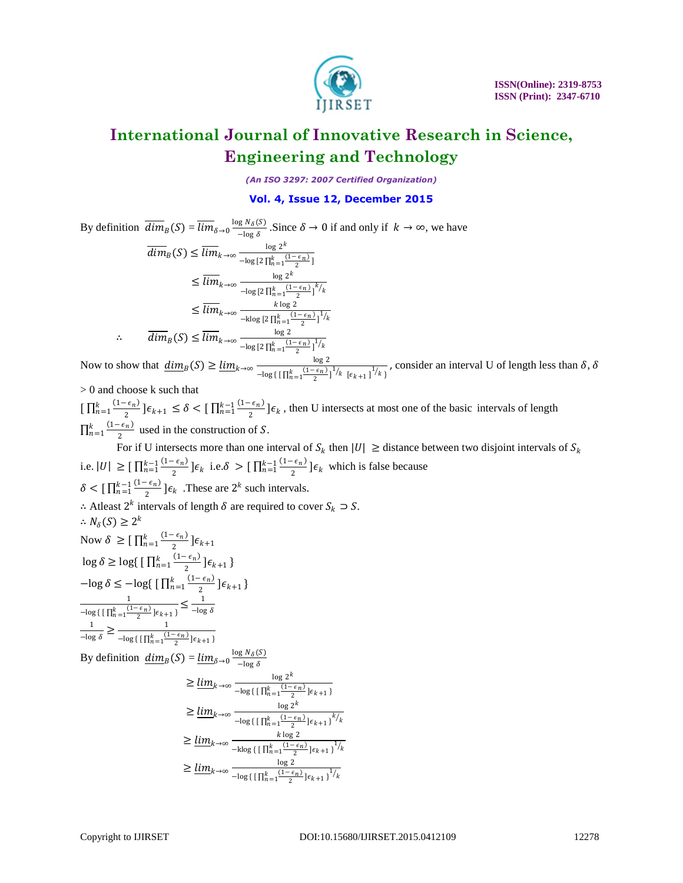

*(An ISO 3297: 2007 Certified Organization)*

#### **Vol. 4, Issue 12, December 2015**

By definition  $\overline{dim}_B(S) = \overline{lim}_{\delta \to 0} \frac{\log N_\delta(S)}{\log \delta}$  $\frac{g N_{\delta}(S)}{-\log \delta}$ . Since  $\delta \to 0$  if and only if  $k \to \infty$ , we have

$$
\overline{dim}_B(S) \le \overline{lim}_{k \to \infty} \frac{\log 2^k}{-\log[2 \prod_{n=1}^k \frac{(1-\epsilon_n)}{2}]}
$$
\n
$$
\le \overline{lim}_{k \to \infty} \frac{\log 2^k}{-\log[2 \prod_{n=1}^k \frac{(1-\epsilon_n)}{2}]^{k/k}}
$$
\n
$$
\le \overline{lim}_{k \to \infty} \frac{k \log 2}{-\log[2 \prod_{n=1}^k \frac{(1-\epsilon_n)}{2}]^{1/k}}
$$
\n
$$
\therefore \quad \overline{dim}_B(S) \le \overline{lim}_{k \to \infty} \frac{\log 2}{-\log[2 \prod_{n=1}^k \frac{(1-\epsilon_n)}{2}]^{1/k}}
$$

Now to show that  $\underline{dim}_B(S) \ge \underline{lim}_{k \to \infty} \frac{\log 2}{\sqrt{(\log k)^{-(1-\epsilon_n)}}}$  $\frac{\log 2}{-\log\left[\prod_{n=1}^k\frac{(1-\epsilon_n)}{2}\right]^{\frac{1}{k}}\left[\epsilon_{k+1}\right]^{\frac{1}{k}}},$  consider an interval U of length less than  $\delta, \delta$ 

> 0 and choose k such that

 $\prod_{n=1}^{k} \frac{(1-\epsilon_n)}{2}$ 2  $\frac{k}{n-1} \frac{(1-\epsilon_n)}{2}$   $\big] \epsilon_{k+1} \leq \delta \leq \big[ \prod_{n=1}^{k-1} \frac{(1-\epsilon_n)}{2} \big]$ 2  $\frac{k-1}{n=1}$   $\frac{(1-\epsilon_n)}{2}$   $\epsilon_k$ , then U intersects at most one of the basic intervals of length  $\prod_{n=1}^{k} \frac{(1-\epsilon_n)}{2}$ 2  $\frac{k}{n-1} \frac{(1-\epsilon_n)}{2}$  used in the construction of S.

For if U intersects more than one interval of  $S_k$  then  $|U| \geq$  distance between two disjoint intervals of  $S_k$ i.e.  $|U| \geq \left[ \prod_{n=1}^{k-1} \frac{(1-\epsilon_n)}{2} \right]$ 2  $_{n=1}^{k-1} \frac{(1-\epsilon_n)}{2}$ ] $\epsilon_k$  i.e. $\delta > [\prod_{n=1}^{k-1} \frac{(1-\epsilon_n)}{2}]$ 2  $\frac{k-1}{n-1} \frac{(1-\epsilon_n)}{2}$   $\in$  which is false because  $\delta \leq \left[ \prod_{n=1}^{k-1} \frac{(1-\epsilon_n)}{2} \right] \epsilon_k$ . These are  $2^k$  such intervals.

$$
\delta < \prod_{n=1}^{k-1} \frac{k}{2} \int \epsilon_k
$$
. These are  $2^k$  such intervals.  
\n
$$
\therefore \text{ At least } 2^k \text{ intervals of length } \delta \text{ are required to cover } S_k \supset S.
$$
\n
$$
\therefore N_{\delta}(S) \ge 2^k
$$
\nNow  $\delta \ge \prod_{n=1}^{k} \frac{(1-\epsilon_n)}{2} \int \epsilon_{k+1}$ \n
$$
\log \delta \ge \log \{ \prod_{n=1}^{k} \frac{(1-\epsilon_n)}{2} \} \epsilon_{k+1} \}
$$
\n
$$
-\log \delta \le -\log \{ \prod_{n=1}^{k} \frac{(1-\epsilon_n)}{2} \} \epsilon_{k+1} \}
$$
\n
$$
\frac{1}{-\log \{ \prod_{n=1}^{k} \frac{(1-\epsilon_n)}{2} \} \epsilon_{k+1} \}} \le \frac{1}{-\log \delta}
$$
\n
$$
\frac{1}{-\log \delta} \ge \frac{1}{-\log \{ \prod_{n=1}^{k} \frac{(1-\epsilon_n)}{2} \} \epsilon_{k+1} \}}
$$
\nBy definition 
$$
\underline{\dim}_B(S) = \underline{\lim}_{\delta \to 0} \frac{\log N_{\delta}(S)}{-\log \delta}
$$
\n
$$
\ge \underline{\lim}_{k \to \infty} \frac{\log 2^k}{-\log \{ \prod_{n=1}^{k} \frac{(1-\epsilon_n)}{2} \} \epsilon_{k+1} \}}
$$

$$
\geq \underbrace{\lim_{k \to \infty} \frac{\log \{ \prod_{n=1}^{k} \frac{(1-\epsilon_n)}{2} \} \epsilon_{k+1} \}}_{-\log \{ \prod_{n=1}^{k} \frac{(1-\epsilon_n)}{2} \} \epsilon_{k+1} \}^{k/k}
$$
\n
$$
\geq \underbrace{\lim_{k \to \infty} \frac{k \log 2}{-\log \{ \prod_{n=1}^{k} \frac{(1-\epsilon_n)}{2} \} \epsilon_{k+1} \}^{1/k}}_{-\log \{ \prod_{n=1}^{k} \frac{(1-\epsilon_n)}{2} \} \epsilon_{k+1} \}^{1/k}}
$$
\n
$$
\geq \underbrace{\lim_{k \to \infty} \frac{\log 2}{-\log \{ \prod_{n=1}^{k} \frac{(1-\epsilon_n)}{2} \} \epsilon_{k+1} \}^{1/k}}
$$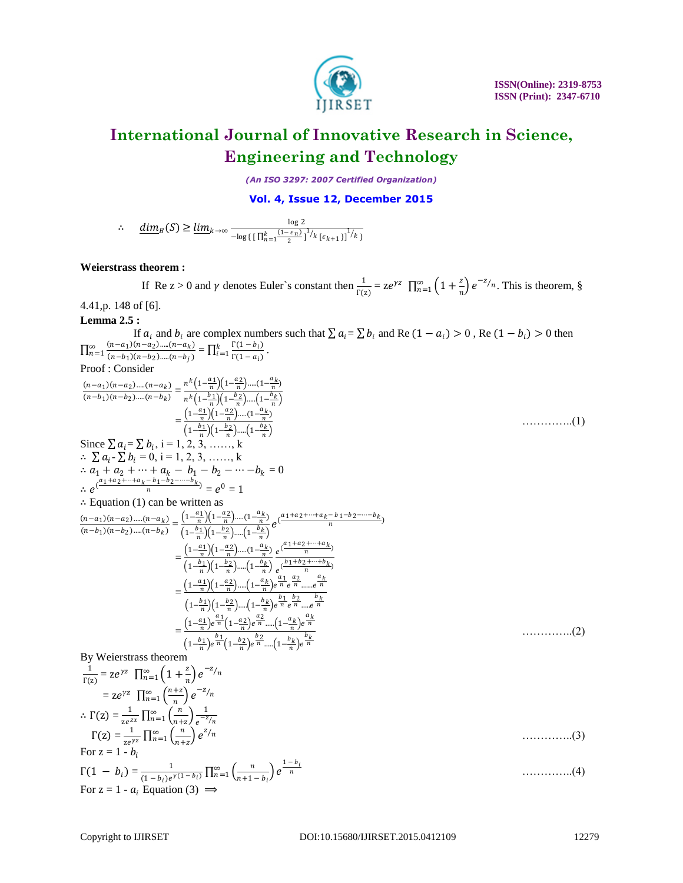

*(An ISO 3297: 2007 Certified Organization)*

#### **Vol. 4, Issue 12, December 2015**

$$
\therefore \quad \underline{dim}_B(S) \ge \underline{lim}_{k \to \infty} \frac{\log 2}{-\log \{ \prod_{n=1}^k (\frac{1-\epsilon_n}{2}) \}^{1/k} \{ \epsilon_{k+1} \}^{1/k} }
$$

#### **Weierstrass theorem :**

If Re z > 0 and  $\gamma$  denotes Euler's constant then  $\frac{1}{\Gamma(z)} = ze^{\gamma z} \prod_{n=1}^{\infty} \left(1 + \frac{z}{n}\right)$  $\sum_{n=1}^{\infty} \left(1 + \frac{z}{n}\right) e^{-z/n}$ . This is theorem, §

### 4.41,p. 148 of [6].

**Lemma 2.5 :** If  $a_i$  and  $b_i$  are complex numbers such that  $\sum a_i = \sum b_i$  and Re  $(1 - a_i) > 0$ , Re  $(1 - b_i) > 0$  then  $\prod_{n=1}^{\infty} \frac{(n-a_1)(n-a_2)...(n-a_k)}{(n-a_1)(n-a_2)...(n-a_k)}$  $(n-b_1)(n-b_2)\dots(n-b_j)$  $\sum_{n=1}^{\infty} \frac{(n-a_1)(n-a_2)\dots(n-a_k)}{(n-b_1)(n-b_2)\dots(n-b_k)} = \prod_{i=1}^{k} \frac{\Gamma(1-b_i)}{\Gamma(1-a_i)}$  $\Gamma(1-a_i)$  $\frac{1(1-b_i)}{1(1-a_i)}$ .

#### Proof : Consider

 −1 −2 …..(− ) −1 −2 …..(−) = 1− 1 1− 2 …..(1− ) 1− 1 1− 2 ….. 1− = 1− 1 1− 2 …..(1− ) 1− 1 1− 2 ….. 1− …………..(1) Since = , i = 1, 2, 3, ……, k ∴ - = 0, i = 1, 2, 3, ……, k ∴ <sup>1</sup> + <sup>2</sup> + ⋯ + − <sup>1</sup> − <sup>2</sup> − ⋯ − = 0 ∴ ( 1+2+⋯+− 1−2−⋯− ) = <sup>0</sup> = 1 ∴ Equation (1) can be written as −1 −2 …..(− ) −1 −2 …..(−) = 1− 1 1− 2 …..(1− ) 1− 1 1− 2 ….. 1− ( 1+2+⋯+− 1−2−⋯− ) = 1− 1 1− 2 …..(1− ) 1− 1 1− 2 ….. 1− ( 1+2+⋯+ ) ( 1+2+⋯+ ) = 1− 1 1− 2 ….. 1− 1 2 …… 1− 1 1− 2 ….. 1− 1 2 ….. = 1− 1 1 1− 2 2 ….. 1− 1− 1 1 1− 2 2 ….. 1− …………..(2) By Weierstrass theorem 1 Г(z) = z 1 + ∞ =1 −

$$
\frac{1}{\Gamma(z)} = ze^{\gamma z} \prod_{n=1}^{\infty} \left(1 + \frac{z}{n}\right) e^{-z/n}
$$
\n
$$
= ze^{\gamma z} \prod_{n=1}^{\infty} \left(\frac{n+z}{n}\right) e^{-z/n}
$$
\n
$$
\therefore \Gamma(z) = \frac{1}{ze^{z\alpha}} \prod_{n=1}^{\infty} \left(\frac{n}{n+z}\right) e^{-z/n}
$$
\n
$$
\Gamma(z) = \frac{1}{ze^{\gamma z}} \prod_{n=1}^{\infty} \left(\frac{n}{n+z}\right) e^{z/n}
$$
\nFor  $z = 1 - b_i$   
\n
$$
\Gamma(1 - b_i) = \frac{1}{(1 - b_i)e^{\gamma(1 - b_i)}} \prod_{n=1}^{\infty} \left(\frac{n}{n+1 - b_i}\right) e^{\frac{1 - b_i}{n}}
$$
\n............(4)  
\nFor  $z = 1 - a_i$  Equation (3)  $\Rightarrow$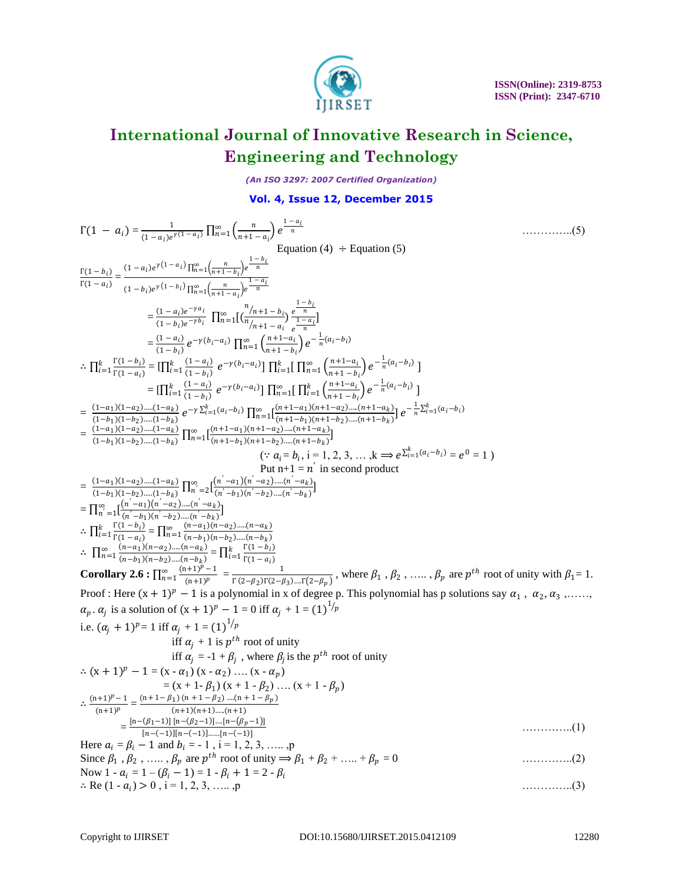

*(An ISO 3297: 2007 Certified Organization)*

**Vol. 4, Issue 12, December 2015**

$$
\Gamma(1 - a_{i}) = \frac{1}{(1-a_{i})e^{r(1-a_{i})}} \prod_{n=1}^{\infty} \left(\frac{\pi}{n+1-a_{i}}\right) e^{-\frac{1-a_{i}}{\pi}} \text{Equation (4) ÷ Equation (5) \n
$$
\frac{\Gamma(1-b_{i})}{\Gamma(1-a_{i})} = \frac{(1-a_{i})e^{r(1-a_{i})}\prod_{n=1}^{\infty} \left(\frac{\pi}{n+1-b_{i}}\right)}{(1-b_{i})e^{r(1-b_{i})}\prod_{n=1}^{\infty} \left(\frac{\pi}{n+1-a_{i}}\right)} = \frac{(1-a_{i})e^{r\pi}}{(1-b_{i})e^{r\pi}} \prod_{n=1}^{\infty} \left(\frac{n}{n+1-b_{i}}\right) e^{-\frac{1-b_{i}}{\pi}}
$$
\n
$$
= \frac{(1-a_{i})e^{r\pi}}{(1-b_{i})e^{r\pi}} \prod_{n=1}^{\infty} \left(\frac{n+a_{i}}{n+1-a_{i}}\right) e^{-\frac{1-b_{i}}{\pi}}
$$
\n
$$
\therefore \prod_{n=1}^{k} \frac{\Gamma(1-b_{i})}{\Gamma(1-a_{i})} = \frac{(1-a_{i})e^{r\pi}}{(1-b_{i})e^{r\pi}} e^{-r(b_{i}-a_{i})}\prod_{n=1}^{\infty} \left(\frac{n+a_{i}}{n+1-b_{i}}\right) e^{-\frac{1}{n}(a_{i}-b_{i})}
$$
\n
$$
\therefore \prod_{n=1}^{k} \frac{\Gamma(1-b_{i})}{\Gamma(1-a_{i})} = \frac{(1-a_{i})e^{r\pi}}{(1-b_{i})e^{r\pi}} e^{-r(b_{i}-a_{i})}\prod_{n=1}^{\infty} \left(\frac{n+a_{i}-a_{i}}{n+1-b_{i}}\right) e^{-\frac{1}{n}(a_{i}-b_{i})}
$$
\n
$$
= \frac{(1-a_{i})(1-a_{i})-(a_{i})e^{r\pi}}{(1-b_{i})e^{r\pi}} e^{-r(b_{i}-a_{i})}\prod_{n=1}^{\infty} \left(\frac{n+a_{i}-a_{i}}{n+1-b_{i}}\right) e^{-\frac{1}{n}(a_{i}-b_{i})}
$$
\n
$$
\frac{(1-a_{i})(1-a_{i})-(a_{i}-b_{i
$$
$$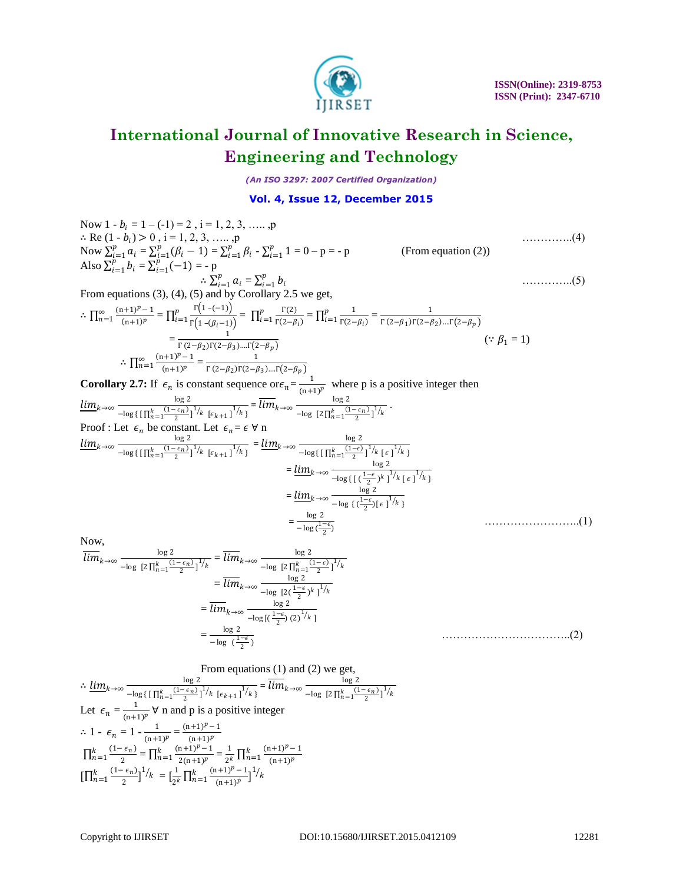

*(An ISO 3297: 2007 Certified Organization)*

**Vol. 4, Issue 12, December 2015**

Now 1 -  $b_i = 1 - (-1) = 2$ , i = 1, 2, 3, ....., p ∴ Re  $(1 - b_i) > 0$ , i = 1, 2, 3, ……, p Now  $\sum_{i=1}^{p} a_i$  $_{i=1}^{p} a_{i} = \sum_{i=1}^{p} (\beta_{i} - 1)$  $_{i=1}^{p}(\beta_{i}-1)=\sum_{i=1}^{p}\beta_{i}$  $_{i=1}^{p} \beta_i - \sum_{i=1}^{p} 1$ Also  $\sum_{i=1}^{p} u_i - \sum_{i=1}^{p} (p_i - 1) - \sum_{i=1}^{p} p_i - \sum_{i=1}^{p}$ <br>Also  $\sum_{i=1}^{p} b_i = \sum_{i=1}^{p} (-1) = -p$ (From equation  $(2)$ )  $\sum_{i=1}^{p} b_i = \sum_{i=1}^{p} (-1)$  $_{i=1}^{p}(-1) = -p$  $\therefore \sum_{i=1}^{p} a_i$ =1 = =1 …………..(5) From equations (3), (4), (5) and by Corollary 2.5 we get,  $\therefore \prod_{n=1}^{\infty} \frac{(n+1)^p - 1}{(n+1)^p}$  $\sum_{n=1}^{\infty} \frac{(n+1)^p - 1}{(n+1)^p} = \prod_{i=1}^p \frac{\Gamma(1 - (-1))}{\Gamma(1 - (\beta_i - 1))}$  $\Gamma(1-(\beta_i-1))$ p  $\frac{p}{i} = 1 \frac{\Gamma(1 - (-1))}{\Gamma(1 - (R - 1))} = \prod_{i=1}^{p} \frac{\Gamma(2)}{\Gamma(2 - R)}$  $\Gamma(2-\beta_i)$ p  $\frac{p}{i=1} \frac{\Gamma(2)}{\Gamma(2-\beta_i)} = \prod_{i=1}^{p} \frac{1}{\Gamma(2-i)}$  $\Gamma(2-\beta_i)$  $\overline{p}$  $\frac{p}{i=1} \frac{1}{\Gamma(2-\beta_i)} = \frac{1}{\Gamma(2-\beta_1)\Gamma(2-\beta_2)}$ Г (2— $\beta_1$ )Г(2— $\beta_2$ )....Г(2— $\beta_p$ )  $=\frac{1}{\Gamma(2, 0.8) \Gamma(2, 0.1)}$ Г (2— $\beta_2$ )Г(2— $\beta_3$ )....Г(2— $\beta_p$ )  $($ :  $\beta_1 = 1)$  $\therefore \prod_{n=1}^{\infty} \frac{(n+1)^p - 1}{(n+1)^p}$  $\sum_{n=1}^{\infty} \frac{(n+1)^p - 1}{(n+1)^p} = \frac{1}{\Gamma(2-\beta_2)\Gamma(2-\beta_1)}$ Г (2— $\beta_2$ )Г(2— $\beta_3$ )....Г(2— $\beta_p$ ) **Corollary 2.7:** If  $\epsilon_n$  is constant sequence or  $\epsilon_n = \frac{1}{(n+1)^n}$  $\frac{1}{(n+1)^p}$  where p is a positive integer then  $\lim_{k\to\infty} \frac{\log 2}{1-\epsilon n}$  $\frac{\log 2}{\log \{ [\prod_{n=1}^{k} \frac{(1-\epsilon_n)}{2}]^{\frac{1}{k}} \left[\epsilon_{k+1}\right]^{\frac{1}{k}} \}} = \overline{lim}_{k \to \infty} \frac{\log 2}{-\log [2 \prod_{n=1}^{k} \frac{(1-\epsilon_n)}{2}]^{\frac{1}{k}}}$  $-\log$   $[2 \prod_{n=1}^{k} \frac{(1-\epsilon_n)}{2}]^{1/k}$ . Proof : Let  $\epsilon_n$  be constant. Let  $\epsilon_n = \epsilon \forall n$  $\lim_{k\to\infty} \frac{\log 2}{1-\epsilon n}$  $\frac{\log 2}{\log \{ [\prod_{n=1}^{k} \frac{(1-\epsilon_n)}{2}]^1/k [\epsilon_{k+1}]^1/k ]}} = \frac{\lim_{k \to \infty} \frac{\log 2}{-\log \{ [\prod_{n=1}^{k} \frac{(1-\epsilon_n)}{2}]^1/k [\epsilon_{k+1}]^1/k ]}}$  $-\log\{[\prod_{n=1}^{k} \frac{(1-\epsilon)}{2}]^{1/k} [\epsilon]^{1/k}\}$  $=\lim_{k\to\infty} \frac{\log 2}{1-\epsilon_0 k_0}$  $-\log\{[\,(\frac{1-\epsilon}{2})^k\,]^{1/k}[\,\epsilon\,]^{1/k}\}\$  $=\lim_{k\to\infty}\frac{\log 2}{\log 2}$  $-\log\left\{\left(\frac{1-\epsilon}{2}\right)\left[\epsilon\right]\right\}^{\frac{1}{k}}\right\}$  $=\frac{\log 2}{1}$  $-\log(\frac{1-\epsilon}{2})$  ……………………..(1) Now,  $\overline{\lim}_{k\to\infty} \frac{\log 2}{\sqrt{\ln \ln \frac{k}{1}}}$  $\frac{\log 2}{-\log |2 \prod_{n=1}^{k} \frac{(1-\epsilon_n)}{2}|^{\frac{1}{k}}/k} = \overline{lim}_{k \to \infty} \frac{\log 2}{-\log |2 \prod_{n=1}^{k} \frac{(k-1)^n}{2k}}$  $-\log \left[ 2 \prod_{n=1}^{k} \frac{(1-\epsilon)}{2} \right]^{1/k}$  $=\overline{\lim}_{k\to\infty} \frac{\log 2}{\ln \frac{1-\epsilon}{k}}$  $-\log \left[2(\frac{1-\epsilon}{2})^k\right]^{\frac{1}{k}}$  $=\overline{\lim}_{k\to\infty} \frac{\log 2}{\frac{1}{k}\log 1-\epsilon_k}$  $-\log[(\frac{1-\epsilon}{2})(2)^{1/k}]$  = log 2  $-\log(\frac{1-\epsilon}{2})$ ……………………………..(2) From equations (1) and (2) we get

From equations (1) and (2) we get,  
\n
$$
\frac{\log 2}{\log 2}
$$
\n
$$
\frac{\log 2}{\log 2}
$$
\nLet  $\epsilon_n = \frac{1}{(n+1)^p} \forall n$  and p is a positive integer  
\n
$$
\therefore 1 - \epsilon_n = 1 - \frac{1}{(n+1)^p} = \frac{(n+1)^p - 1}{(n+1)^p}
$$
\n
$$
\prod_{n=1}^k \frac{(1-\epsilon_n)}{2} = \prod_{n=1}^k \frac{(n+1)^p - 1}{2(n+1)^p} = \frac{1}{2^k} \prod_{n=1}^k \frac{(n+1)^p - 1}{(n+1)^p}
$$
\n
$$
\prod_{n=1}^k \frac{(1-\epsilon_n)}{2} = \prod_{n=1}^k \frac{(n+1)^p - 1}{2(n+1)^p} = \frac{1}{2^k} \prod_{n=1}^k \frac{(n+1)^p - 1}{(n+1)^p}
$$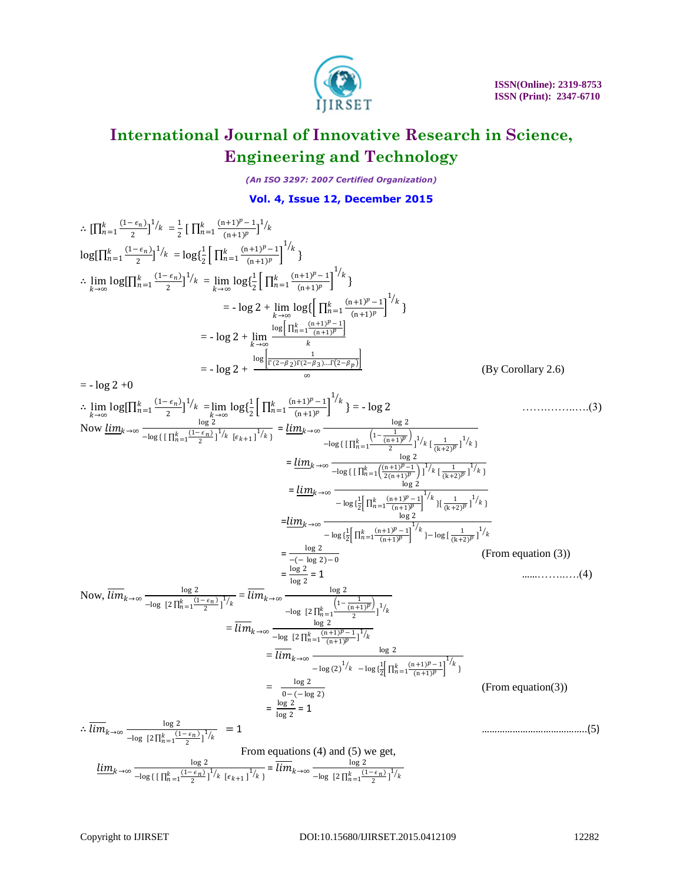

*(An ISO 3297: 2007 Certified Organization)*

**Vol. 4, Issue 12, December 2015**

$$
\therefore \left[ \prod_{n=1}^{k} \frac{(1-\epsilon_{n})}{2} \right]^{1/k} = \frac{1}{2} \left[ \prod_{n=1}^{k} \frac{(n+1)^{p}-1}{(n+1)^{p}} \right]^{1/k}
$$
  
\n
$$
\log \left[ \prod_{n=1}^{k} \frac{(1-\epsilon_{n})}{2} \right]^{1/k} = \log \left\{ \frac{1}{2} \left[ \prod_{n=1}^{k} \frac{(n+1)^{p}-1}{(n+1)^{p}} \right]^{1/k} \right\}
$$
  
\n
$$
\therefore \lim_{k \to \infty} \log \left[ \prod_{n=1}^{k} \frac{(1-\epsilon_{n})}{2} \right]^{1/k} = \lim_{k \to \infty} \log \left\{ \frac{1}{2} \left[ \prod_{n=1}^{k} \frac{(n+1)^{p}-1}{(n+1)^{p}} \right]^{1/k} \right\}
$$
  
\n
$$
= -\log 2 + \lim_{k \to \infty} \log \left[ \prod_{n=1}^{k} \frac{(n+1)^{p}-1}{(n+1)^{p}} \right]^{1/k} \right\}
$$
  
\n
$$
= -\log 2 + \lim_{k \to \infty} \frac{\log \left[ \prod_{n=1}^{k} \frac{(n+1)^{p}-1}{(n+1)^{p}} \right]}{k}
$$
  
\n
$$
= -\log 2 + \frac{\log \left[ \frac{1}{\Gamma(2-\beta_{2})\Gamma(2-\beta_{3})} \dots \Gamma(2-\beta_{p}) \right]}{\infty}
$$
  
\n
$$
= -\log 2 + 0
$$
  
\n(By Corollary 2.6)

$$
\therefore \lim_{k \to \infty} \log \left[ \prod_{n=1}^{k} \frac{(1-\epsilon_{n})}{2} \right]^{1/k} = \lim_{\substack{\log 2 \text{ to } 8}} \log \left( \frac{1}{2} \left[ \prod_{n=1}^{k} \frac{(n+1)^{p}}{(n+1)^{p}} \right]^{1/k} \right) = -\log 2 \quad \text{(3)}
$$
\n
$$
\text{Now } \underline{\lim}_{k \to \infty} \frac{\log 2}{-\log \left( \prod_{n=1}^{k} \frac{(1-\epsilon_{n})}{2} \right)^{1/k} \left[ \epsilon_{k+1} \right]^{1/k}} = \frac{\lim_{k \to \infty} \frac{\log 2}{-\log \left( \prod_{n=1}^{k} \frac{(1-\frac{1}{(k+1)^{p}})}{2} \right]^{1/k} \left[ \frac{1}{(k+2)^{p}} \right]^{1/k}}}{-\log \left( \prod_{n=1}^{k} \frac{(n+1)^{p}-1}{2(n+1)^{p}} \right)^{1/k} \left[ \frac{1}{(k+2)^{p}} \right]^{1/k}} = \frac{\lim_{k \to \infty} \frac{\log 2}{-\log \left( \prod_{n=1}^{k} \frac{(n+1)^{p}-1}{2} \right)^{1/k} \left[ \frac{1}{(k+2)^{p}} \right]^{1/k}}}{-\log \left( \frac{1}{2} \left[ \prod_{n=1}^{k} \frac{(n+1)^{p}-1}{(n+1)^{p}} \right]^{1/k}} \right) = \frac{\lim_{k \to \infty} \frac{\log 2}{-\log \left( \frac{1}{2} \left[ \prod_{n=1}^{k} \frac{(n+1)^{p}-1}{(n+1)^{p}} \right]^{1/k}} \right)} - \frac{\log 2}{-\log \left( \frac{1}{2} \left[ \prod_{n=1}^{k} \frac{(n+1)^{p}-1}{(n+1)^{p}} \right]^{1/k}} \right) - \log \left( \frac{1}{(k+2)^{p}} \right)^{1/k}} = \frac{\frac{\log 2}{-\log 2 - 0}}{-\log \left( \frac{1}{2} \left[ \prod_{n=1}^{k} \frac{(n+1)^{p}-1}{(n+1)^{p}} \right]^{1/k}} \right)} = \frac{\frac{\log 2}{\log 2 - 1}}{\frac
$$